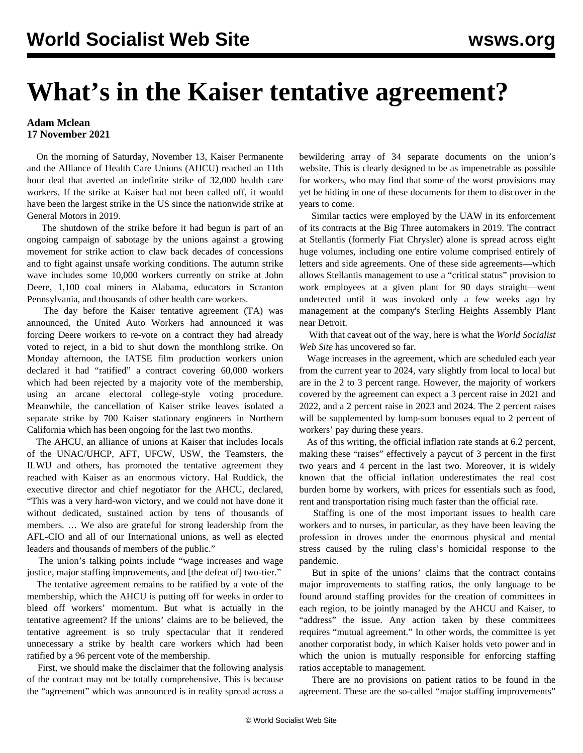## **What's in the Kaiser tentative agreement?**

## **Adam Mclean 17 November 2021**

 On the morning of Saturday, November 13, Kaiser Permanente and the Alliance of Health Care Unions (AHCU) reached an 11th hour deal that averted an indefinite strike of 32,000 health care workers. If the strike at Kaiser had not been called off, it would have been the largest strike in the US since the nationwide strike at General Motors in 2019.

 The shutdown of the strike before it had begun is part of an ongoing campaign of sabotage by the unions against a growing movement for strike action to claw back decades of concessions and to fight against unsafe working conditions. The autumn [strike](/en/articles/2021/11/16/pers-n16.html) [wave](/en/articles/2021/11/16/pers-n16.html) includes some 10,000 workers currently on strike at John Deere, 1,100 coal miners in Alabama, educators in Scranton Pennsylvania, and thousands of other health care workers.

 The day before the Kaiser tentative agreement (TA) was announced, the United Auto Workers had announced it was forcing Deere workers to re-vote on a contract they had already voted to reject, in a bid to shut down the monthlong strike. On Monday afternoon, the IATSE film production workers union declared it had "ratified" a contract covering 60,000 workers which had been rejected by a majority vote of the membership, using an arcane electoral college-style voting procedure. Meanwhile, the cancellation of Kaiser strike leaves isolated a separate strike by 700 Kaiser stationary engineers in Northern California which has been ongoing for the last two months.

 The AHCU, an alliance of unions at Kaiser that includes locals of the UNAC/UHCP, AFT, UFCW, USW, the Teamsters, the ILWU and others, has promoted the tentative agreement they reached with Kaiser as an enormous victory. Hal Ruddick, the executive director and chief negotiator for the AHCU, declared, "This was a very hard-won victory, and we could not have done it without dedicated, sustained action by tens of thousands of members. … We also are grateful for strong leadership from the AFL-CIO and all of our International unions, as well as elected leaders and thousands of members of the public."

 The union's talking points include "wage increases and wage justice, major staffing improvements, and [the defeat of] two-tier."

 The tentative agreement remains to be ratified by a vote of the membership, which the AHCU is putting off for weeks in order to bleed off workers' momentum. But what is actually in the tentative agreement? If the unions' claims are to be believed, the tentative agreement is so truly spectacular that it rendered unnecessary a strike by health care workers which had been ratified by a 96 percent vote of the membership.

 First, we should make the disclaimer that the following analysis of the contract may not be totally comprehensive. This is because the "agreement" which was announced is in reality spread across a

bewildering array of 34 separate documents on the union's [website.](https://ufcw1996.org/kaiser-permanente-bargaining-updates-2021/) This is clearly designed to be as impenetrable as possible for workers, who may find that some of the worst provisions may yet be hiding in one of these documents for them to discover in the years to come.

 Similar tactics were employed by the UAW in its enforcement of its contracts at the Big Three automakers in 2019. The contract at Stellantis (formerly Fiat Chrysler) alone is spread across eight huge volumes, including one entire volume comprised entirely of letters and side agreements. One of these side agreements—which allows Stellantis management to use a "critical status" provision to work employees at a given plant for 90 days straight—went undetected until it was invoked only a few weeks ago by management at the company's [Sterling Heights Assembly Plant](/en/articles/2021/09/18/shap-s18.html) near Detroit.

 With that caveat out of the way, here is what the *World Socialist Web Site* has uncovered so far.

 Wage increases in the agreement, which are scheduled each year from the current year to 2024, vary slightly from local to local but are in the 2 to 3 percent range. However, the majority of workers covered by the agreement can expect a 3 percent raise in 2021 and 2022, and a 2 percent raise in 2023 and 2024. The 2 percent raises will be supplemented by lump-sum bonuses equal to 2 percent of workers' pay during these years.

 As of this writing, the official inflation rate stands at 6.2 percent, making these "raises" effectively a paycut of 3 percent in the first two years and 4 percent in the last two. Moreover, it is widely known that the official inflation underestimates the real cost burden borne by workers, with prices for essentials such as food, rent and transportation rising much faster than the official rate.

 Staffing is one of the most important issues to health care workers and to nurses, in particular, as they have been leaving the profession in droves under the enormous physical and mental stress caused by the ruling class's homicidal response to the pandemic.

 But in spite of the unions' claims that the contract contains major improvements to staffing ratios, the only language to be found around staffing provides for the creation of committees in each region, to be jointly managed by the AHCU and Kaiser, to "address" the issue. Any action taken by these committees requires "mutual agreement." In other words, the committee is yet another corporatist body, in which Kaiser holds veto power and in which the union is mutually responsible for enforcing staffing ratios acceptable to management.

 There are no provisions on patient ratios to be found in the agreement. These are the so-called "major staffing improvements"